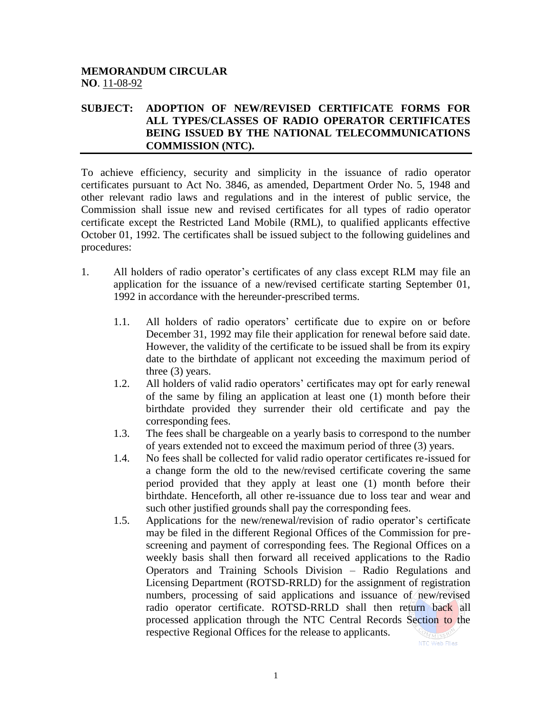## **MEMORANDUM CIRCULAR NO**. 11-08-92

## **SUBJECT: ADOPTION OF NEW/REVISED CERTIFICATE FORMS FOR ALL TYPES/CLASSES OF RADIO OPERATOR CERTIFICATES BEING ISSUED BY THE NATIONAL TELECOMMUNICATIONS COMMISSION (NTC).**

To achieve efficiency, security and simplicity in the issuance of radio operator certificates pursuant to Act No. 3846, as amended, Department Order No. 5, 1948 and other relevant radio laws and regulations and in the interest of public service, the Commission shall issue new and revised certificates for all types of radio operator certificate except the Restricted Land Mobile (RML), to qualified applicants effective October 01, 1992. The certificates shall be issued subject to the following guidelines and procedures:

- 1. All holders of radio operator's certificates of any class except RLM may file an application for the issuance of a new/revised certificate starting September 01, 1992 in accordance with the hereunder-prescribed terms.
	- 1.1. All holders of radio operators' certificate due to expire on or before December 31, 1992 may file their application for renewal before said date. However, the validity of the certificate to be issued shall be from its expiry date to the birthdate of applicant not exceeding the maximum period of three (3) years.
	- 1.2. All holders of valid radio operators' certificates may opt for early renewal of the same by filing an application at least one (1) month before their birthdate provided they surrender their old certificate and pay the corresponding fees.
	- 1.3. The fees shall be chargeable on a yearly basis to correspond to the number of years extended not to exceed the maximum period of three (3) years.
	- 1.4. No fees shall be collected for valid radio operator certificates re-issued for a change form the old to the new/revised certificate covering the same period provided that they apply at least one (1) month before their birthdate. Henceforth, all other re-issuance due to loss tear and wear and such other justified grounds shall pay the corresponding fees.
	- 1.5. Applications for the new/renewal/revision of radio operator's certificate may be filed in the different Regional Offices of the Commission for prescreening and payment of corresponding fees. The Regional Offices on a weekly basis shall then forward all received applications to the Radio Operators and Training Schools Division – Radio Regulations and Licensing Department (ROTSD-RRLD) for the assignment of registration numbers, processing of said applications and issuance of new/revised radio operator certificate. ROTSD-RRLD shall then return back all processed application through the NTC Central Records Section to the respective Regional Offices for the release to applicants.